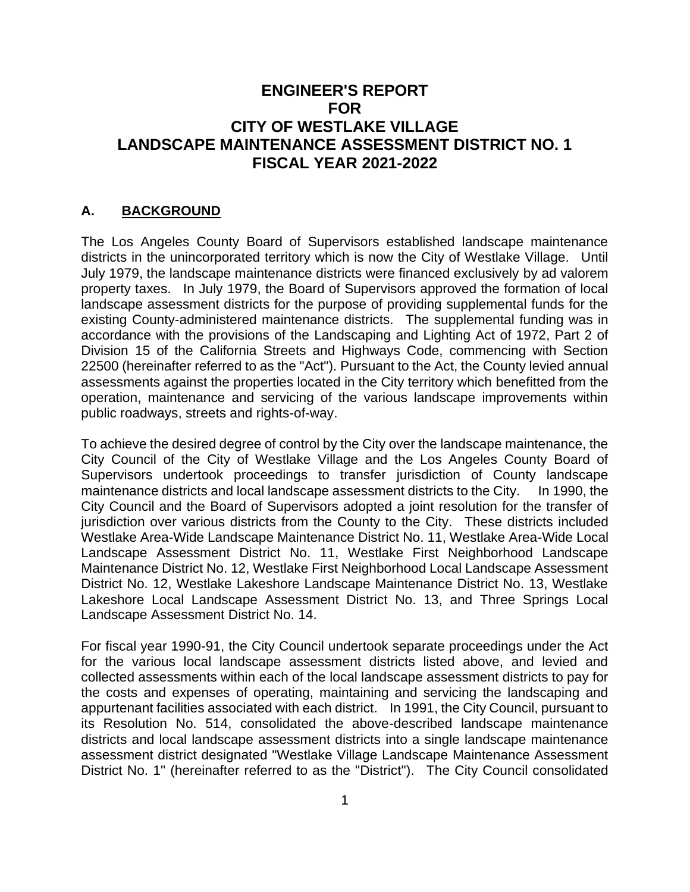# **ENGINEER'S REPORT FOR CITY OF WESTLAKE VILLAGE LANDSCAPE MAINTENANCE ASSESSMENT DISTRICT NO. 1 FISCAL YEAR 2021-2022**

### **A. BACKGROUND**

The Los Angeles County Board of Supervisors established landscape maintenance districts in the unincorporated territory which is now the City of Westlake Village. Until July 1979, the landscape maintenance districts were financed exclusively by ad valorem property taxes. In July 1979, the Board of Supervisors approved the formation of local landscape assessment districts for the purpose of providing supplemental funds for the existing County-administered maintenance districts. The supplemental funding was in accordance with the provisions of the Landscaping and Lighting Act of 1972, Part 2 of Division 15 of the California Streets and Highways Code, commencing with Section 22500 (hereinafter referred to as the "Act"). Pursuant to the Act, the County levied annual assessments against the properties located in the City territory which benefitted from the operation, maintenance and servicing of the various landscape improvements within public roadways, streets and rights-of-way.

To achieve the desired degree of control by the City over the landscape maintenance, the City Council of the City of Westlake Village and the Los Angeles County Board of Supervisors undertook proceedings to transfer jurisdiction of County landscape maintenance districts and local landscape assessment districts to the City. In 1990, the City Council and the Board of Supervisors adopted a joint resolution for the transfer of jurisdiction over various districts from the County to the City. These districts included Westlake Area-Wide Landscape Maintenance District No. 11, Westlake Area-Wide Local Landscape Assessment District No. 11, Westlake First Neighborhood Landscape Maintenance District No. 12, Westlake First Neighborhood Local Landscape Assessment District No. 12, Westlake Lakeshore Landscape Maintenance District No. 13, Westlake Lakeshore Local Landscape Assessment District No. 13, and Three Springs Local Landscape Assessment District No. 14.

For fiscal year 1990-91, the City Council undertook separate proceedings under the Act for the various local landscape assessment districts listed above, and levied and collected assessments within each of the local landscape assessment districts to pay for the costs and expenses of operating, maintaining and servicing the landscaping and appurtenant facilities associated with each district. In 1991, the City Council, pursuant to its Resolution No. 514, consolidated the above-described landscape maintenance districts and local landscape assessment districts into a single landscape maintenance assessment district designated "Westlake Village Landscape Maintenance Assessment District No. 1" (hereinafter referred to as the "District"). The City Council consolidated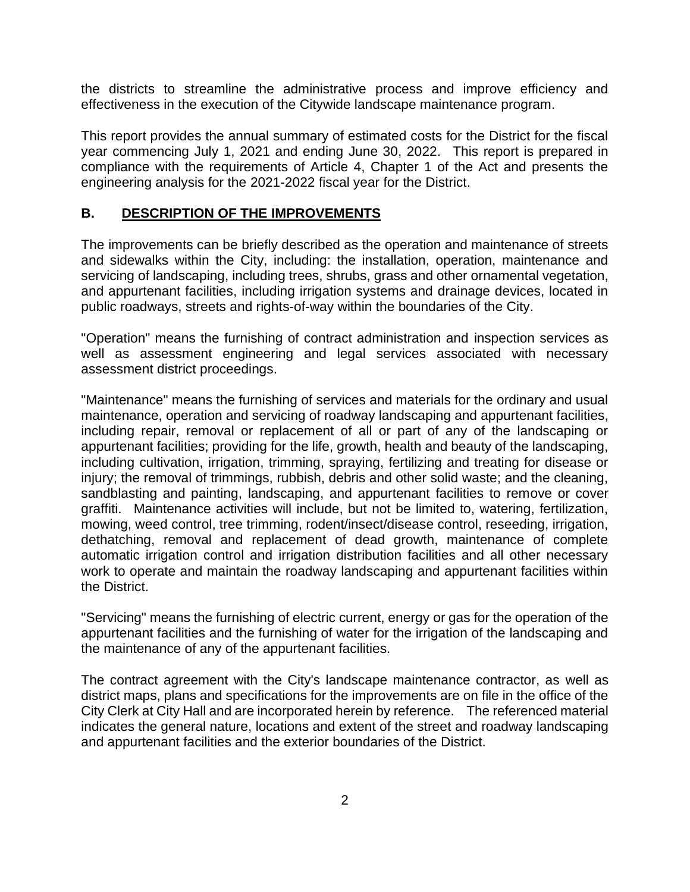the districts to streamline the administrative process and improve efficiency and effectiveness in the execution of the Citywide landscape maintenance program.

This report provides the annual summary of estimated costs for the District for the fiscal year commencing July 1, 2021 and ending June 30, 2022. This report is prepared in compliance with the requirements of Article 4, Chapter 1 of the Act and presents the engineering analysis for the 2021-2022 fiscal year for the District.

#### **B. DESCRIPTION OF THE IMPROVEMENTS**

The improvements can be briefly described as the operation and maintenance of streets and sidewalks within the City, including: the installation, operation, maintenance and servicing of landscaping, including trees, shrubs, grass and other ornamental vegetation, and appurtenant facilities, including irrigation systems and drainage devices, located in public roadways, streets and rights-of-way within the boundaries of the City.

"Operation" means the furnishing of contract administration and inspection services as well as assessment engineering and legal services associated with necessary assessment district proceedings.

"Maintenance" means the furnishing of services and materials for the ordinary and usual maintenance, operation and servicing of roadway landscaping and appurtenant facilities, including repair, removal or replacement of all or part of any of the landscaping or appurtenant facilities; providing for the life, growth, health and beauty of the landscaping, including cultivation, irrigation, trimming, spraying, fertilizing and treating for disease or injury; the removal of trimmings, rubbish, debris and other solid waste; and the cleaning, sandblasting and painting, landscaping, and appurtenant facilities to remove or cover graffiti. Maintenance activities will include, but not be limited to, watering, fertilization, mowing, weed control, tree trimming, rodent/insect/disease control, reseeding, irrigation, dethatching, removal and replacement of dead growth, maintenance of complete automatic irrigation control and irrigation distribution facilities and all other necessary work to operate and maintain the roadway landscaping and appurtenant facilities within the District.

"Servicing" means the furnishing of electric current, energy or gas for the operation of the appurtenant facilities and the furnishing of water for the irrigation of the landscaping and the maintenance of any of the appurtenant facilities.

The contract agreement with the City's landscape maintenance contractor, as well as district maps, plans and specifications for the improvements are on file in the office of the City Clerk at City Hall and are incorporated herein by reference. The referenced material indicates the general nature, locations and extent of the street and roadway landscaping and appurtenant facilities and the exterior boundaries of the District.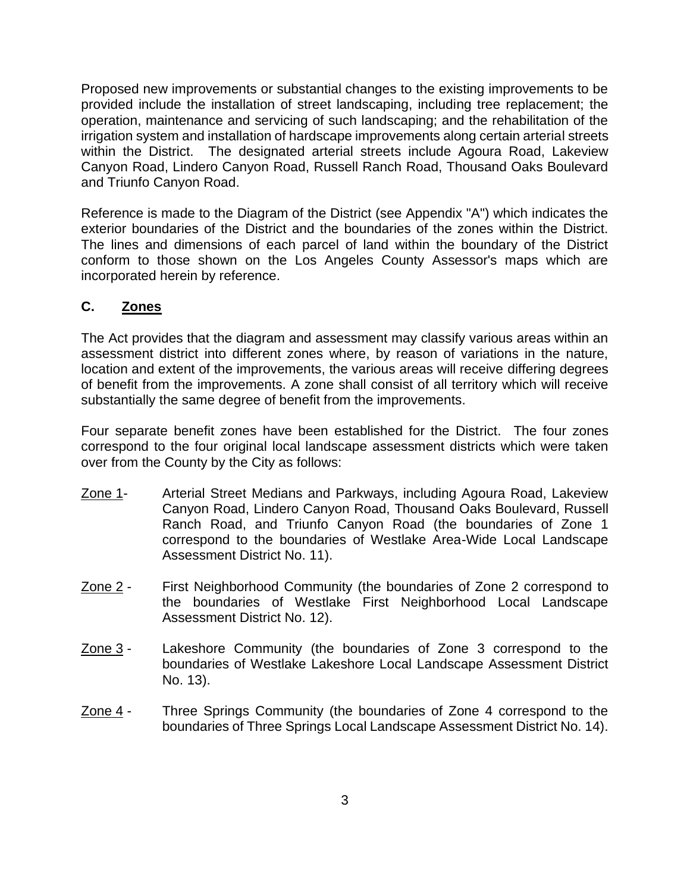Proposed new improvements or substantial changes to the existing improvements to be provided include the installation of street landscaping, including tree replacement; the operation, maintenance and servicing of such landscaping; and the rehabilitation of the irrigation system and installation of hardscape improvements along certain arterial streets within the District. The designated arterial streets include Agoura Road, Lakeview Canyon Road, Lindero Canyon Road, Russell Ranch Road, Thousand Oaks Boulevard and Triunfo Canyon Road.

Reference is made to the Diagram of the District (see Appendix "A") which indicates the exterior boundaries of the District and the boundaries of the zones within the District. The lines and dimensions of each parcel of land within the boundary of the District conform to those shown on the Los Angeles County Assessor's maps which are incorporated herein by reference.

#### **C. Zones**

The Act provides that the diagram and assessment may classify various areas within an assessment district into different zones where, by reason of variations in the nature, location and extent of the improvements, the various areas will receive differing degrees of benefit from the improvements. A zone shall consist of all territory which will receive substantially the same degree of benefit from the improvements.

Four separate benefit zones have been established for the District. The four zones correspond to the four original local landscape assessment districts which were taken over from the County by the City as follows:

- Zone 1- Arterial Street Medians and Parkways, including Agoura Road, Lakeview Canyon Road, Lindero Canyon Road, Thousand Oaks Boulevard, Russell Ranch Road, and Triunfo Canyon Road (the boundaries of Zone 1 correspond to the boundaries of Westlake Area-Wide Local Landscape Assessment District No. 11).
- Zone 2 First Neighborhood Community (the boundaries of Zone 2 correspond to the boundaries of Westlake First Neighborhood Local Landscape Assessment District No. 12).
- Zone 3 Lakeshore Community (the boundaries of Zone 3 correspond to the boundaries of Westlake Lakeshore Local Landscape Assessment District No. 13).
- Zone 4 Three Springs Community (the boundaries of Zone 4 correspond to the boundaries of Three Springs Local Landscape Assessment District No. 14).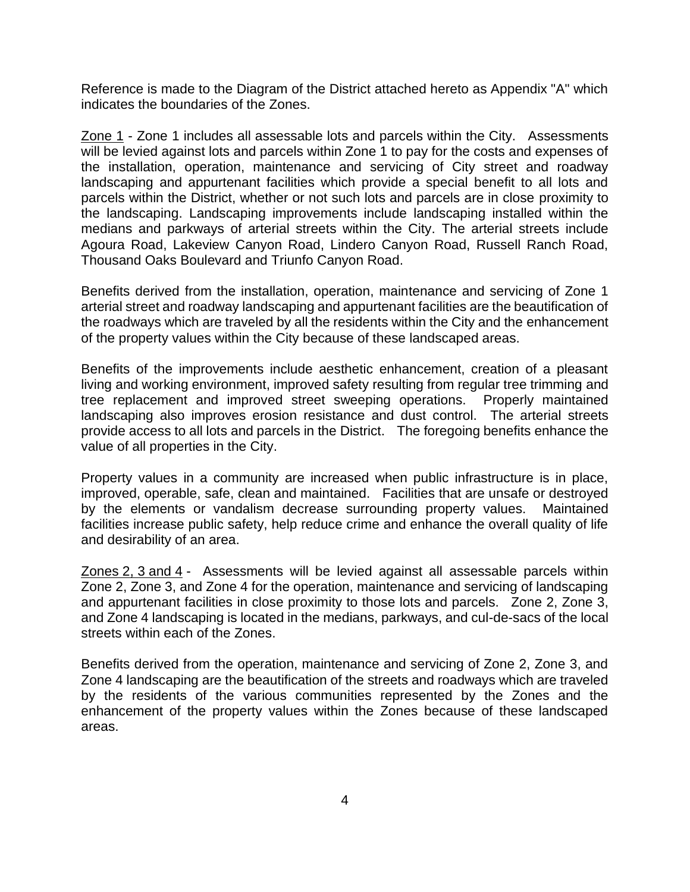Reference is made to the Diagram of the District attached hereto as Appendix "A" which indicates the boundaries of the Zones.

Zone 1 - Zone 1 includes all assessable lots and parcels within the City. Assessments will be levied against lots and parcels within Zone 1 to pay for the costs and expenses of the installation, operation, maintenance and servicing of City street and roadway landscaping and appurtenant facilities which provide a special benefit to all lots and parcels within the District, whether or not such lots and parcels are in close proximity to the landscaping. Landscaping improvements include landscaping installed within the medians and parkways of arterial streets within the City. The arterial streets include Agoura Road, Lakeview Canyon Road, Lindero Canyon Road, Russell Ranch Road, Thousand Oaks Boulevard and Triunfo Canyon Road.

Benefits derived from the installation, operation, maintenance and servicing of Zone 1 arterial street and roadway landscaping and appurtenant facilities are the beautification of the roadways which are traveled by all the residents within the City and the enhancement of the property values within the City because of these landscaped areas.

Benefits of the improvements include aesthetic enhancement, creation of a pleasant living and working environment, improved safety resulting from regular tree trimming and tree replacement and improved street sweeping operations. Properly maintained landscaping also improves erosion resistance and dust control. The arterial streets provide access to all lots and parcels in the District. The foregoing benefits enhance the value of all properties in the City.

Property values in a community are increased when public infrastructure is in place, improved, operable, safe, clean and maintained. Facilities that are unsafe or destroyed by the elements or vandalism decrease surrounding property values. Maintained facilities increase public safety, help reduce crime and enhance the overall quality of life and desirability of an area.

Zones 2, 3 and 4 - Assessments will be levied against all assessable parcels within Zone 2, Zone 3, and Zone 4 for the operation, maintenance and servicing of landscaping and appurtenant facilities in close proximity to those lots and parcels. Zone 2, Zone 3, and Zone 4 landscaping is located in the medians, parkways, and cul-de-sacs of the local streets within each of the Zones.

Benefits derived from the operation, maintenance and servicing of Zone 2, Zone 3, and Zone 4 landscaping are the beautification of the streets and roadways which are traveled by the residents of the various communities represented by the Zones and the enhancement of the property values within the Zones because of these landscaped areas.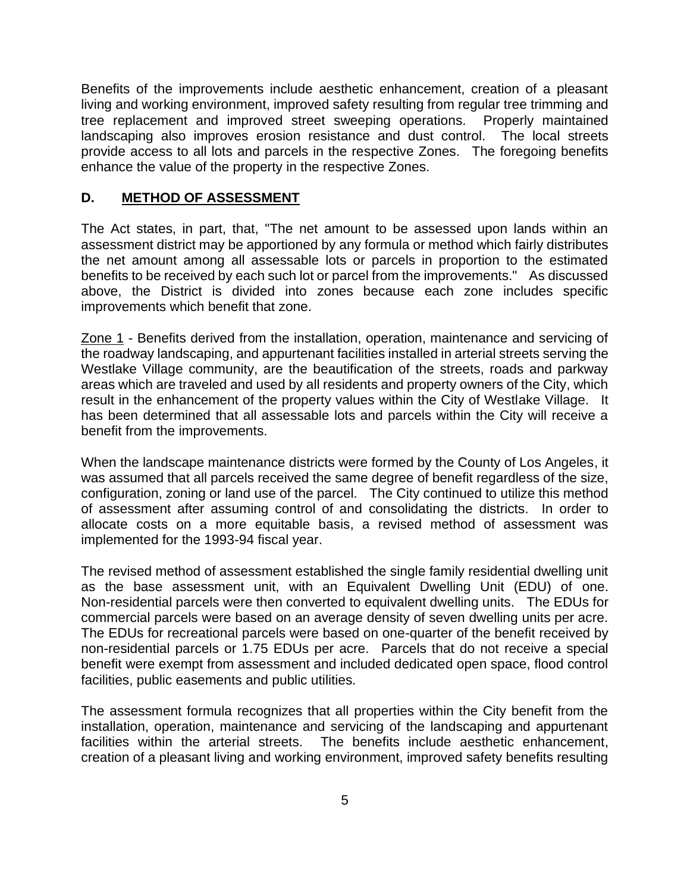Benefits of the improvements include aesthetic enhancement, creation of a pleasant living and working environment, improved safety resulting from regular tree trimming and tree replacement and improved street sweeping operations. Properly maintained landscaping also improves erosion resistance and dust control. The local streets provide access to all lots and parcels in the respective Zones. The foregoing benefits enhance the value of the property in the respective Zones.

#### **D. METHOD OF ASSESSMENT**

The Act states, in part, that, "The net amount to be assessed upon lands within an assessment district may be apportioned by any formula or method which fairly distributes the net amount among all assessable lots or parcels in proportion to the estimated benefits to be received by each such lot or parcel from the improvements." As discussed above, the District is divided into zones because each zone includes specific improvements which benefit that zone.

Zone 1 - Benefits derived from the installation, operation, maintenance and servicing of the roadway landscaping, and appurtenant facilities installed in arterial streets serving the Westlake Village community, are the beautification of the streets, roads and parkway areas which are traveled and used by all residents and property owners of the City, which result in the enhancement of the property values within the City of Westlake Village. It has been determined that all assessable lots and parcels within the City will receive a benefit from the improvements.

When the landscape maintenance districts were formed by the County of Los Angeles, it was assumed that all parcels received the same degree of benefit regardless of the size, configuration, zoning or land use of the parcel. The City continued to utilize this method of assessment after assuming control of and consolidating the districts. In order to allocate costs on a more equitable basis, a revised method of assessment was implemented for the 1993-94 fiscal year.

The revised method of assessment established the single family residential dwelling unit as the base assessment unit, with an Equivalent Dwelling Unit (EDU) of one. Non-residential parcels were then converted to equivalent dwelling units. The EDUs for commercial parcels were based on an average density of seven dwelling units per acre. The EDUs for recreational parcels were based on one-quarter of the benefit received by non-residential parcels or 1.75 EDUs per acre. Parcels that do not receive a special benefit were exempt from assessment and included dedicated open space, flood control facilities, public easements and public utilities.

The assessment formula recognizes that all properties within the City benefit from the installation, operation, maintenance and servicing of the landscaping and appurtenant facilities within the arterial streets. The benefits include aesthetic enhancement, creation of a pleasant living and working environment, improved safety benefits resulting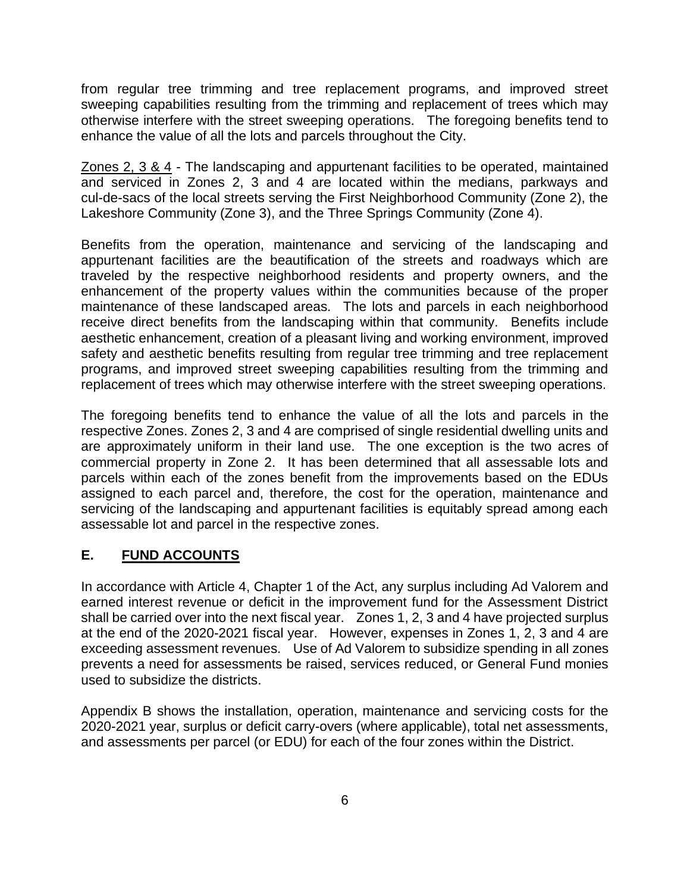from regular tree trimming and tree replacement programs, and improved street sweeping capabilities resulting from the trimming and replacement of trees which may otherwise interfere with the street sweeping operations. The foregoing benefits tend to enhance the value of all the lots and parcels throughout the City.

Zones 2, 3 & 4 - The landscaping and appurtenant facilities to be operated, maintained and serviced in Zones 2, 3 and 4 are located within the medians, parkways and cul-de-sacs of the local streets serving the First Neighborhood Community (Zone 2), the Lakeshore Community (Zone 3), and the Three Springs Community (Zone 4).

Benefits from the operation, maintenance and servicing of the landscaping and appurtenant facilities are the beautification of the streets and roadways which are traveled by the respective neighborhood residents and property owners, and the enhancement of the property values within the communities because of the proper maintenance of these landscaped areas. The lots and parcels in each neighborhood receive direct benefits from the landscaping within that community. Benefits include aesthetic enhancement, creation of a pleasant living and working environment, improved safety and aesthetic benefits resulting from regular tree trimming and tree replacement programs, and improved street sweeping capabilities resulting from the trimming and replacement of trees which may otherwise interfere with the street sweeping operations.

The foregoing benefits tend to enhance the value of all the lots and parcels in the respective Zones. Zones 2, 3 and 4 are comprised of single residential dwelling units and are approximately uniform in their land use. The one exception is the two acres of commercial property in Zone 2. It has been determined that all assessable lots and parcels within each of the zones benefit from the improvements based on the EDUs assigned to each parcel and, therefore, the cost for the operation, maintenance and servicing of the landscaping and appurtenant facilities is equitably spread among each assessable lot and parcel in the respective zones.

### **E. FUND ACCOUNTS**

In accordance with Article 4, Chapter 1 of the Act, any surplus including Ad Valorem and earned interest revenue or deficit in the improvement fund for the Assessment District shall be carried over into the next fiscal year. Zones 1, 2, 3 and 4 have projected surplus at the end of the 2020-2021 fiscal year. However, expenses in Zones 1, 2, 3 and 4 are exceeding assessment revenues. Use of Ad Valorem to subsidize spending in all zones prevents a need for assessments be raised, services reduced, or General Fund monies used to subsidize the districts.

Appendix B shows the installation, operation, maintenance and servicing costs for the 2020-2021 year, surplus or deficit carry-overs (where applicable), total net assessments, and assessments per parcel (or EDU) for each of the four zones within the District.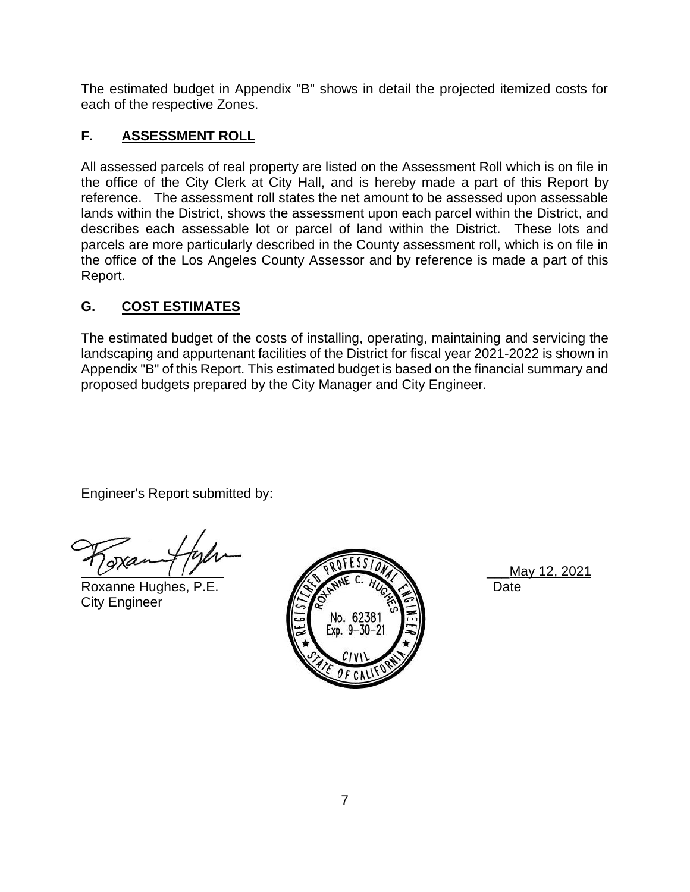The estimated budget in Appendix "B" shows in detail the projected itemized costs for each of the respective Zones.

### **F. ASSESSMENT ROLL**

All assessed parcels of real property are listed on the Assessment Roll which is on file in the office of the City Clerk at City Hall, and is hereby made a part of this Report by reference. The assessment roll states the net amount to be assessed upon assessable lands within the District, shows the assessment upon each parcel within the District, and describes each assessable lot or parcel of land within the District. These lots and parcels are more particularly described in the County assessment roll, which is on file in the office of the Los Angeles County Assessor and by reference is made a part of this Report.

# **G. COST ESTIMATES**

The estimated budget of the costs of installing, operating, maintaining and servicing the landscaping and appurtenant facilities of the District for fiscal year 2021-2022 is shown in Appendix "B" of this Report. This estimated budget is based on the financial summary and proposed budgets prepared by the City Manager and City Engineer.

Engineer's Report submitted by:

City Engineer



\_\_\_May 12, 2021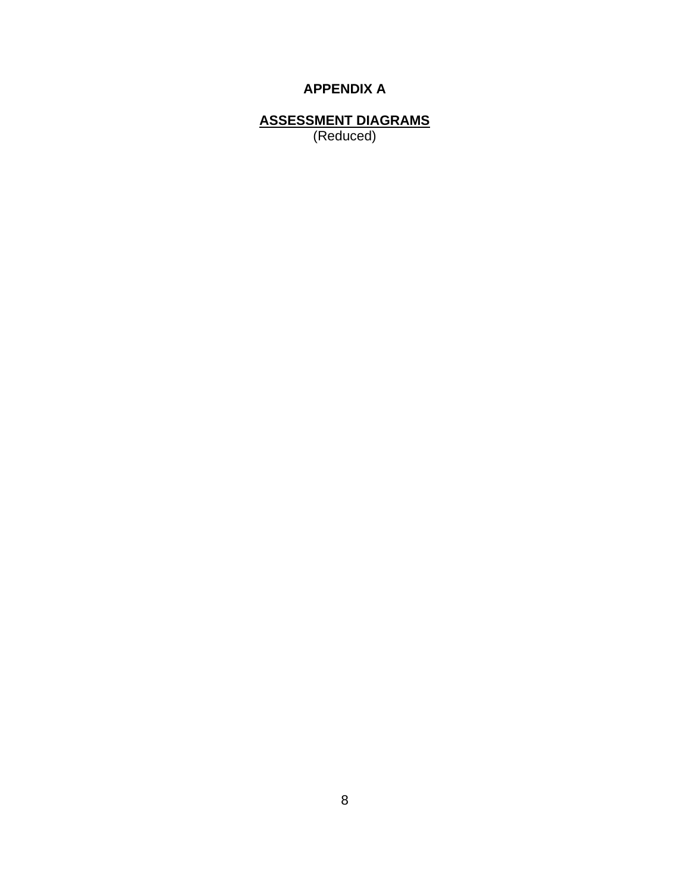# **APPENDIX A**

**ASSESSMENT DIAGRAMS** (Reduced)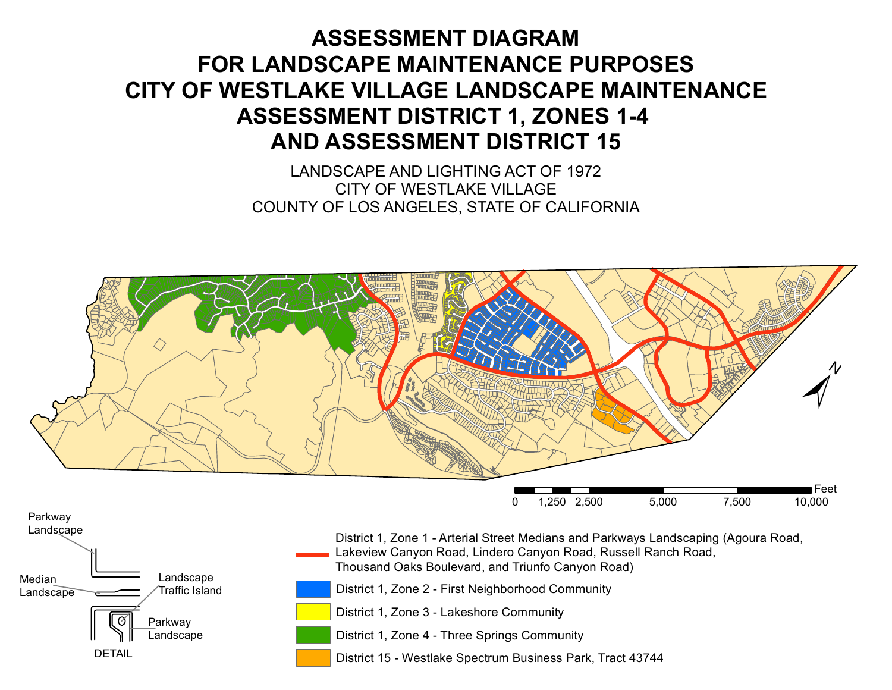# **ASSESSMENT DIAGRAM FOR LANDSCAPE MAINTENANCE PURPOSES CITY OF WESTLAKE VILLAGE LANDSCAPE MAINTENANCE ASSESSMENT DISTRICT 1, ZONES 1-4 AND ASSESSMENT DISTRICT 15**

LANDSCAPE AND LIGHTING ACT OF 1972 CITY OF WESTLAKE VILLAGE COUNTY OF LOS ANGELES, STATE OF CALIFORNIA



District 1, Zone 2 - First Neighborhood Community

District 1, Zone 3 - Lakeshore Community

Parkway Landscape

DETAIL

Traffic Island

**Landscape** 

District 1, Zone 4 - Three Springs Community

District 15 - Westlake Spectrum Business Park, Tract 43744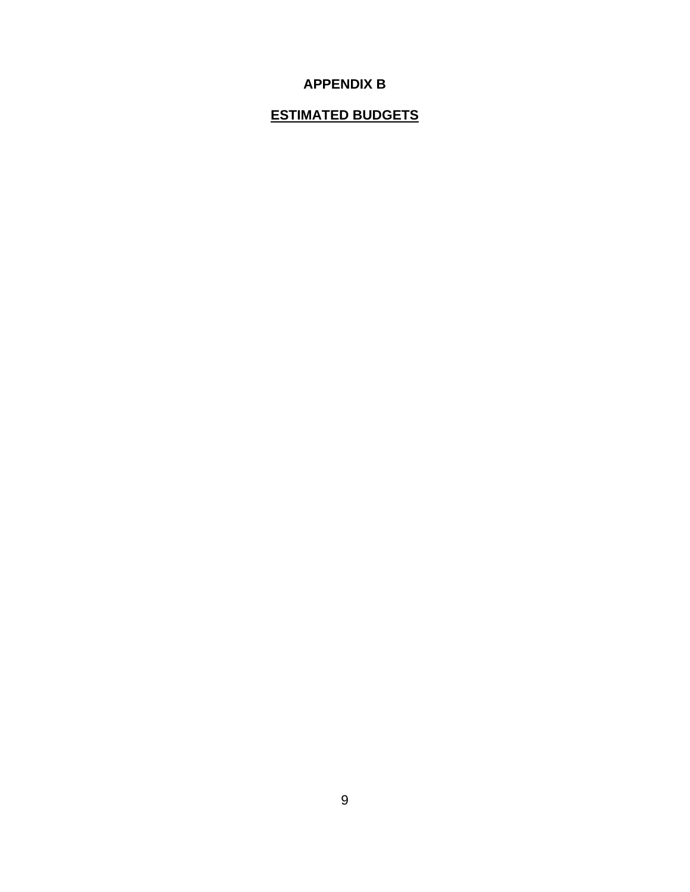# **APPENDIX B**

# **ESTIMATED BUDGETS**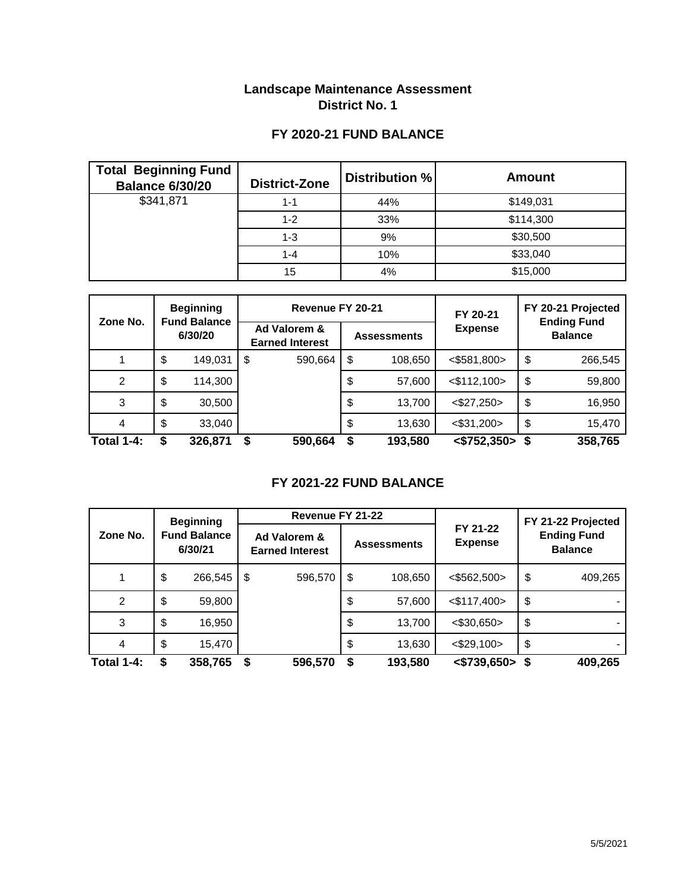### **Landscape Maintenance Assessment District No. 1**

# **FY 2020-21 FUND BALANCE**

| <b>Total Beginning Fund</b><br><b>Balance 6/30/20</b> | District-Zone | Distribution % | <b>Amount</b> |
|-------------------------------------------------------|---------------|----------------|---------------|
| \$341,871                                             | 1-1           | 44%            | \$149,031     |
|                                                       | $1 - 2$       | 33%            | \$114,300     |
|                                                       | $1 - 3$       | 9%             | \$30,500      |
|                                                       | $1 - 4$       | 10%            | \$33,040      |
|                                                       | 15            | 4%             | \$15,000      |

| Zone No.          | <b>Beginning</b><br><b>Fund Balance</b><br>6/30/20 |         |                                        | Revenue FY 20-21 |                    | FY 20-21 | FY 20-21 Projected<br><b>Ending Fund</b> |                |         |  |
|-------------------|----------------------------------------------------|---------|----------------------------------------|------------------|--------------------|----------|------------------------------------------|----------------|---------|--|
|                   |                                                    |         | Ad Valorem &<br><b>Earned Interest</b> |                  | <b>Assessments</b> |          | <b>Expense</b>                           | <b>Balance</b> |         |  |
|                   | \$                                                 | 149,031 | \$                                     | 590,664          | \$                 | 108,650  | $<$ \$581,800>                           | \$             | 266,545 |  |
| 2                 | \$                                                 | 114,300 |                                        |                  | \$                 | 57,600   | $<$ \$112,100 $>$                        | \$             | 59,800  |  |
| 3                 | \$                                                 | 30,500  |                                        |                  | \$                 | 13,700   | $<$ \$27,250 $>$                         | \$             | 16,950  |  |
| 4                 | \$                                                 | 33,040  |                                        |                  | \$                 | 13,630   | $<$ \$31,200 $>$                         | \$             | 15,470  |  |
| <b>Total 1-4:</b> | \$                                                 | 326,871 | \$                                     | 590,664          | \$                 | 193,580  | $<$ \$752,350>                           |                | 358,765 |  |

# **FY 2021-22 FUND BALANCE**

|                   | <b>Beginning</b><br><b>Fund Balance</b><br>6/30/21 |         | Revenue FY 21-22                       |         |                    |         |                            | FY 21-22 Projected                   |         |  |  |
|-------------------|----------------------------------------------------|---------|----------------------------------------|---------|--------------------|---------|----------------------------|--------------------------------------|---------|--|--|
| Zone No.          |                                                    |         | Ad Valorem &<br><b>Earned Interest</b> |         | <b>Assessments</b> |         | FY 21-22<br><b>Expense</b> | <b>Ending Fund</b><br><b>Balance</b> |         |  |  |
|                   | \$                                                 | 266,545 | \$                                     | 596,570 | \$                 | 108,650 | $<$ \$562,500>             | \$                                   | 409,265 |  |  |
| 2                 | \$                                                 | 59,800  |                                        |         | \$                 | 57,600  | $<$ \$117,400>             | \$                                   |         |  |  |
| 3                 | \$                                                 | 16,950  |                                        |         | \$                 | 13,700  | $<$ \$30,650>              | \$                                   |         |  |  |
| 4                 | \$                                                 | 15,470  |                                        |         | \$                 | 13,630  | $<$ \$29,100 $>$           | \$                                   |         |  |  |
| <b>Total 1-4:</b> | \$                                                 | 358,765 | \$                                     | 596,570 | S                  | 193,580 | $<$ \$739,650>             |                                      | 409,265 |  |  |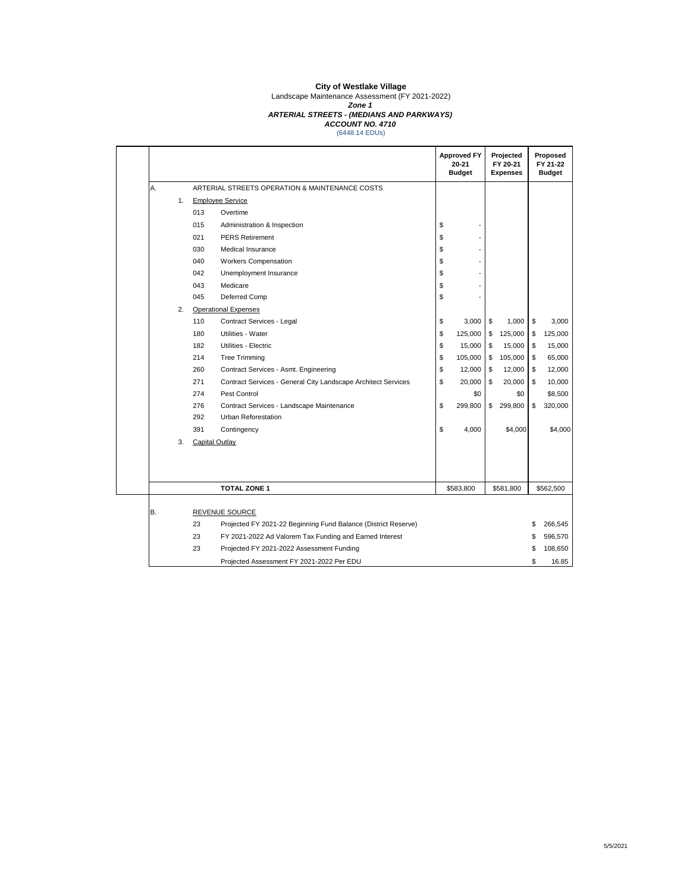Landscape Maintenance Assessment (FY 2021-2022)

#### *Zone 1*

*ARTERIAL STREETS - (MEDIANS AND PARKWAYS)*

*ACCOUNT NO. 4710* (6448.14 EDUs)

|    |    |     |                                                                | <b>Approved FY</b><br>20-21<br><b>Budget</b> |    | Projected<br>FY 20-21<br><b>Expenses</b> | Proposed<br>FY 21-22<br><b>Budget</b> |
|----|----|-----|----------------------------------------------------------------|----------------------------------------------|----|------------------------------------------|---------------------------------------|
| А. |    |     | ARTERIAL STREETS OPERATION & MAINTENANCE COSTS                 |                                              |    |                                          |                                       |
|    | 1. |     | <b>Employee Service</b>                                        |                                              |    |                                          |                                       |
|    |    | 013 | Overtime                                                       |                                              |    |                                          |                                       |
|    |    | 015 | Administration & Inspection                                    | \$                                           |    |                                          |                                       |
|    |    | 021 | <b>PERS Retirement</b>                                         | \$                                           |    |                                          |                                       |
|    |    | 030 | Medical Insurance                                              | \$                                           |    |                                          |                                       |
|    |    | 040 | Workers Compensation                                           | \$                                           |    |                                          |                                       |
|    |    | 042 | Unemployment Insurance                                         | \$                                           |    |                                          |                                       |
|    |    | 043 | Medicare                                                       | \$                                           |    |                                          |                                       |
|    |    | 045 | Deferred Comp                                                  | \$                                           |    |                                          |                                       |
|    | 2. |     | <b>Operational Expenses</b>                                    |                                              |    |                                          |                                       |
|    |    | 110 | Contract Services - Legal                                      | \$<br>3,000                                  | \$ | 1,000                                    | \$<br>3,000                           |
|    |    | 180 | Utilities - Water                                              | \$<br>125,000                                | \$ | 125,000                                  | \$<br>125,000                         |
|    |    | 182 | Utilities - Electric                                           | \$<br>15,000                                 | \$ | 15,000                                   | \$<br>15,000                          |
|    |    | 214 | <b>Tree Trimming</b>                                           | \$<br>105,000                                | \$ | 105,000                                  | \$<br>65,000                          |
|    |    | 260 | Contract Services - Asmt. Engineering                          | \$<br>12,000                                 | \$ | 12,000                                   | \$<br>12,000                          |
|    |    | 271 | Contract Services - General City Landscape Architect Services  | \$<br>20,000                                 | S  | 20,000                                   | \$<br>10,000                          |
|    |    | 274 | Pest Control                                                   | \$0                                          |    | \$0                                      | \$8,500                               |
|    |    | 276 | Contract Services - Landscape Maintenance                      | \$<br>299,800                                | \$ | 299,800                                  | \$<br>320,000                         |
|    |    | 292 | <b>Urban Reforestation</b>                                     |                                              |    |                                          |                                       |
|    |    | 391 | Contingency                                                    | \$<br>4,000                                  |    | \$4,000                                  | \$4,000                               |
|    | 3. |     | <b>Capital Outlay</b>                                          |                                              |    |                                          |                                       |
|    |    |     |                                                                |                                              |    |                                          |                                       |
|    |    |     | <b>TOTAL ZONE 1</b>                                            | \$583,800                                    |    | \$581,800                                | \$562,500                             |
| В. |    |     | <b>REVENUE SOURCE</b>                                          |                                              |    |                                          |                                       |
|    |    | 23  | Projected FY 2021-22 Beginning Fund Balance (District Reserve) |                                              |    |                                          | \$<br>266,545                         |
|    |    | 23  | FY 2021-2022 Ad Valorem Tax Funding and Earned Interest        |                                              |    |                                          | \$<br>596,570                         |
|    |    | 23  | Projected FY 2021-2022 Assessment Funding                      |                                              |    |                                          | \$<br>108,650                         |
|    |    |     | Projected Assessment FY 2021-2022 Per EDU                      |                                              |    |                                          | \$<br>16.85                           |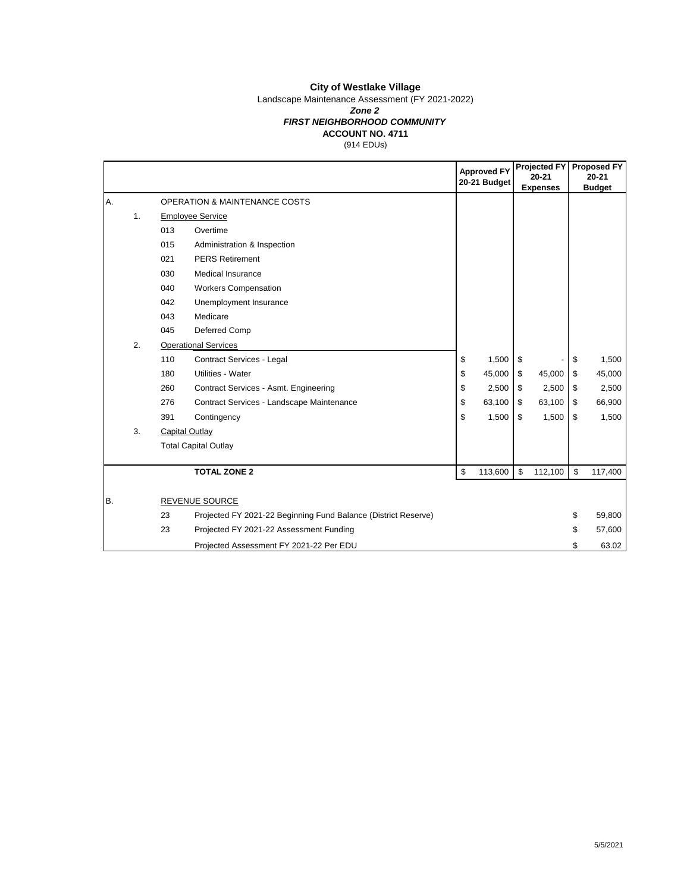Landscape Maintenance Assessment (FY 2021-2022)

#### *Zone 2*

#### **ACCOUNT NO. 4711** *FIRST NEIGHBORHOOD COMMUNITY*

(914 EDUs)

|    |    |     |                                                                | <b>Approved FY</b><br>20-21 Budget |    | <b>Projected FY</b><br>$20 - 21$<br><b>Expenses</b> |    | <b>Proposed FY</b><br>$20 - 21$<br><b>Budget</b> |
|----|----|-----|----------------------------------------------------------------|------------------------------------|----|-----------------------------------------------------|----|--------------------------------------------------|
| Α. |    |     | <b>OPERATION &amp; MAINTENANCE COSTS</b>                       |                                    |    |                                                     |    |                                                  |
|    | 1. |     | <b>Employee Service</b>                                        |                                    |    |                                                     |    |                                                  |
|    |    | 013 | Overtime                                                       |                                    |    |                                                     |    |                                                  |
|    |    | 015 | Administration & Inspection                                    |                                    |    |                                                     |    |                                                  |
|    |    | 021 | <b>PERS Retirement</b>                                         |                                    |    |                                                     |    |                                                  |
|    |    | 030 | <b>Medical Insurance</b>                                       |                                    |    |                                                     |    |                                                  |
|    |    | 040 | <b>Workers Compensation</b>                                    |                                    |    |                                                     |    |                                                  |
|    |    | 042 | Unemployment Insurance                                         |                                    |    |                                                     |    |                                                  |
|    |    | 043 | Medicare                                                       |                                    |    |                                                     |    |                                                  |
|    |    | 045 | Deferred Comp                                                  |                                    |    |                                                     |    |                                                  |
|    | 2. |     | <b>Operational Services</b>                                    |                                    |    |                                                     |    |                                                  |
|    |    | 110 | Contract Services - Legal                                      | \$<br>1,500                        | \$ |                                                     | \$ | 1,500                                            |
|    |    | 180 | Utilities - Water                                              | \$<br>45,000                       | \$ | 45,000                                              | \$ | 45,000                                           |
|    |    | 260 | Contract Services - Asmt. Engineering                          | \$<br>2,500                        | \$ | 2,500                                               | \$ | 2,500                                            |
|    |    | 276 | Contract Services - Landscape Maintenance                      | \$<br>63,100                       | \$ | 63,100                                              | \$ | 66,900                                           |
|    |    | 391 | Contingency                                                    | \$<br>1,500                        | \$ | 1,500                                               | \$ | 1,500                                            |
|    | 3. |     | Capital Outlay                                                 |                                    |    |                                                     |    |                                                  |
|    |    |     | <b>Total Capital Outlay</b>                                    |                                    |    |                                                     |    |                                                  |
|    |    |     | <b>TOTAL ZONE 2</b>                                            | \$<br>113,600                      | \$ | 112,100                                             | \$ | 117,400                                          |
| Β. |    |     | <b>REVENUE SOURCE</b>                                          |                                    |    |                                                     |    |                                                  |
|    |    | 23  | Projected FY 2021-22 Beginning Fund Balance (District Reserve) |                                    |    |                                                     | \$ | 59,800                                           |
|    |    | 23  | Projected FY 2021-22 Assessment Funding                        |                                    |    |                                                     | \$ | 57,600                                           |
|    |    |     | Projected Assessment FY 2021-22 Per EDU                        |                                    |    |                                                     | \$ | 63.02                                            |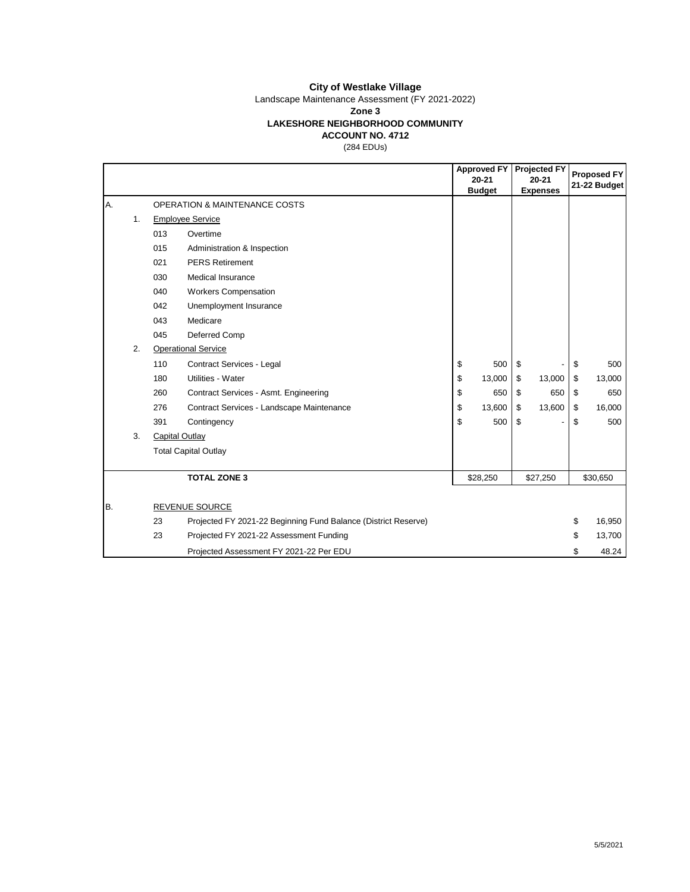Landscape Maintenance Assessment (FY 2021-2022)

**Zone 3**

#### **LAKESHORE NEIGHBORHOOD COMMUNITY**

**ACCOUNT NO. 4712**

(284 EDUs)

|    |    |     |                                                                | <b>Approved FY</b><br>$20 - 21$<br><b>Budget</b> |    | <b>Projected FY</b><br>$20 - 21$<br><b>Expenses</b> |    | <b>Proposed FY</b><br>21-22 Budget |
|----|----|-----|----------------------------------------------------------------|--------------------------------------------------|----|-----------------------------------------------------|----|------------------------------------|
| A. |    |     | <b>OPERATION &amp; MAINTENANCE COSTS</b>                       |                                                  |    |                                                     |    |                                    |
|    | 1. |     | <b>Employee Service</b>                                        |                                                  |    |                                                     |    |                                    |
|    |    | 013 | Overtime                                                       |                                                  |    |                                                     |    |                                    |
|    |    | 015 | Administration & Inspection                                    |                                                  |    |                                                     |    |                                    |
|    |    | 021 | <b>PERS Retirement</b>                                         |                                                  |    |                                                     |    |                                    |
|    |    | 030 | Medical Insurance                                              |                                                  |    |                                                     |    |                                    |
|    |    | 040 | <b>Workers Compensation</b>                                    |                                                  |    |                                                     |    |                                    |
|    |    | 042 | Unemployment Insurance                                         |                                                  |    |                                                     |    |                                    |
|    |    | 043 | Medicare                                                       |                                                  |    |                                                     |    |                                    |
|    |    | 045 | Deferred Comp                                                  |                                                  |    |                                                     |    |                                    |
|    | 2. |     | <b>Operational Service</b>                                     |                                                  |    |                                                     |    |                                    |
|    |    | 110 | Contract Services - Legal                                      | \$<br>500                                        | \$ |                                                     | \$ | 500                                |
|    |    | 180 | Utilities - Water                                              | \$<br>13,000                                     | \$ | 13,000                                              | \$ | 13,000                             |
|    |    | 260 | Contract Services - Asmt. Engineering                          | \$<br>650                                        | \$ | 650                                                 | \$ | 650                                |
|    |    | 276 | Contract Services - Landscape Maintenance                      | \$<br>13,600                                     | \$ | 13,600                                              | \$ | 16,000                             |
|    |    | 391 | Contingency                                                    | \$<br>500                                        | \$ |                                                     | \$ | 500                                |
|    | 3. |     | Capital Outlay                                                 |                                                  |    |                                                     |    |                                    |
|    |    |     | <b>Total Capital Outlay</b>                                    |                                                  |    |                                                     |    |                                    |
|    |    |     | <b>TOTAL ZONE 3</b>                                            | \$28,250                                         |    | \$27,250                                            |    | \$30,650                           |
| B. |    |     | REVENUE SOURCE                                                 |                                                  |    |                                                     |    |                                    |
|    |    | 23  | Projected FY 2021-22 Beginning Fund Balance (District Reserve) |                                                  |    |                                                     | \$ | 16,950                             |
|    |    | 23  | Projected FY 2021-22 Assessment Funding                        |                                                  |    |                                                     | \$ | 13,700                             |
|    |    |     | Projected Assessment FY 2021-22 Per EDU                        |                                                  |    |                                                     | \$ | 48.24                              |